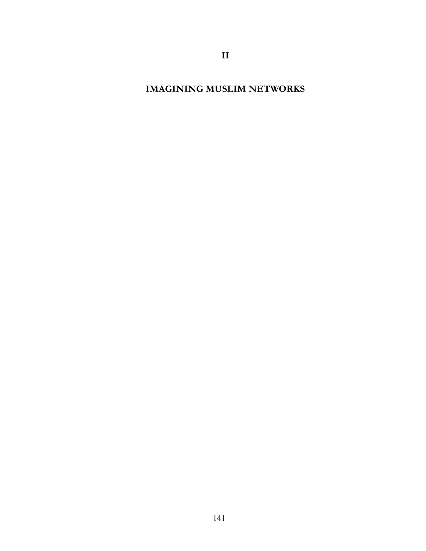**II**

**IMAGINING MUSLIM NETWORKS**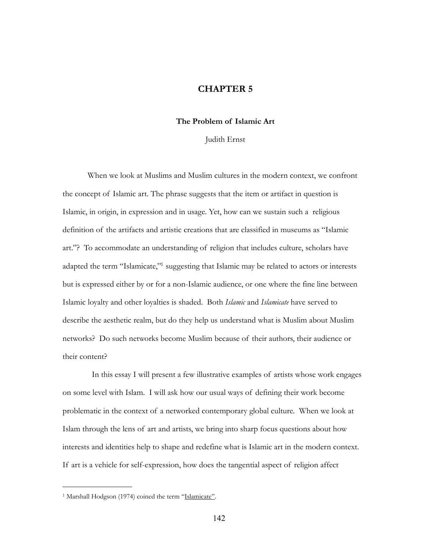## **CHAPTER 5**

## **The Problem of Islamic Art**

Judith Ernst

When we look at Muslims and Muslim cultures in the modern context, we confront the concept of Islamic art. The phrase suggests that the item or artifact in question is Islamic, in origin, in expression and in usage. Yet, how can we sustain such a religious definition of the artifacts and artistic creations that are classified in museums as "Islamic art."? To accommodate an understanding of religion that includes culture, scholars have adapted the term "Islamicate,"<sup>1</sup> suggesting that Islamic may be related to actors or interests but is expressed either by or for a non-Islamic audience, or one where the fine line between Islamic loyalty and other loyalties is shaded. Both *Islamic* and *Islamicate* have served to describe the aesthetic realm, but do they help us understand what is Muslim about Muslim networks? Do such networks become Muslim because of their authors, their audience or their content?

 In this essay I will present a few illustrative examples of artists whose work engages on some level with Islam. I will ask how our usual ways of defining their work become problematic in the context of a networked contemporary global culture. When we look at Islam through the lens of art and artists, we bring into sharp focus questions about how interests and identities help to shape and redefine what is Islamic art in the modern context. If art is a vehicle for self-expression, how does the tangential aspect of religion affect

<span id="page-1-0"></span><sup>&</sup>lt;sup>1</sup> Marshall Hodgson (1974) coined the term "Islamicate".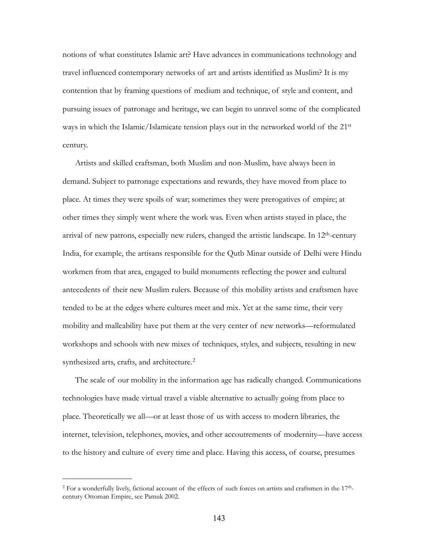notions of what constitutes Islamic art? Have advances in communications technology and travel influenced contemporary networks of art and artists identified as Muslim? It is my contention that by framing questions of medium and technique, of style and content, and pursuing issues of patronage and heritage, we can begin to unravel some of the complicated ways in which the Islamic/Islamicate tension plays out in the networked world of the 21<sup>st</sup> century.

Artists and skilled craftsman, both Muslim and non-Muslim, have always been in demand. Subject to patronage expectations and rewards, they have moved from place to place. At times they were spoils of war; sometimes they were prerogatives of empire; at other times they simply went where the work was. Even when artists stayed in place, the arrival of new patrons, especially new rulers, changed the artistic landscape. In  $12<sup>th</sup>$ -century India, for example, the artisans responsible for the Qutb Minar outside of Delhi were Hindu workmen from that area, engaged to build monuments reflecting the power and cultural antecedents of their new Muslim rulers. Because of this mobility artists and craftsmen have tended to be at the edges where cultures meet and mix. Yet at the same time, their very mobility and malleability have put them at the very center of new networks—reformulated workshops and schools with new mixes of techniques, styles, and subjects, resulting in new synthesized arts, crafts, and architecture.<sup>[2](#page-2-0)</sup>

The scale of our mobility in the information age has radically changed. Communications technologies have made virtual travel a viable alternative to actually going from place to place. Theoretically we all—or at least those of us with access to modern libraries, the internet, television, telephones, movies, and other accoutrements of modernity—have access to the history and culture of every time and place. Having this access, of course, presumes

<span id="page-2-0"></span><sup>&</sup>lt;sup>2</sup> For a wonderfully lively, fictional account of the effects of such forces on artists and craftsmen in the  $17<sup>th</sup>$ century Ottoman Empire, see Pamuk 2002.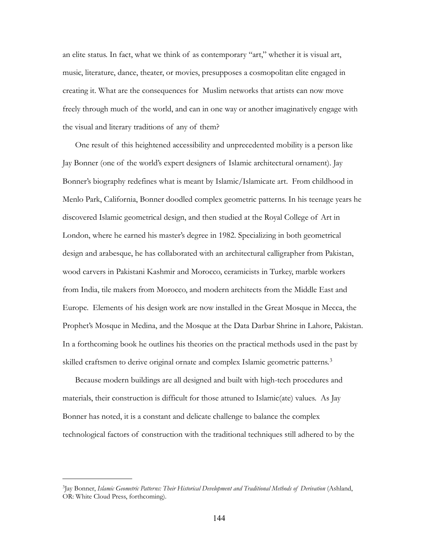an elite status. In fact, what we think of as contemporary "art," whether it is visual art, music, literature, dance, theater, or movies, presupposes a cosmopolitan elite engaged in creating it. What are the consequences for Muslim networks that artists can now move freely through much of the world, and can in one way or another imaginatively engage with the visual and literary traditions of any of them?

One result of this heightened accessibility and unprecedented mobility is a person like Jay Bonner (one of the world's expert designers of Islamic architectural ornament). Jay Bonner's biography redefines what is meant by Islamic/Islamicate art. From childhood in Menlo Park, California, Bonner doodled complex geometric patterns. In his teenage years he discovered Islamic geometrical design, and then studied at the Royal College of Art in London, where he earned his master's degree in 1982. Specializing in both geometrical design and arabesque, he has collaborated with an architectural calligrapher from Pakistan, wood carvers in Pakistani Kashmir and Morocco, ceramicists in Turkey, marble workers from India, tile makers from Morocco, and modern architects from the Middle East and Europe. Elements of his design work are now installed in the Great Mosque in Mecca, the Prophet's Mosque in Medina, and the Mosque at the Data Darbar Shrine in Lahore, Pakistan. In a forthcoming book he outlines his theories on the practical methods used in the past by skilled craftsmen to derive original ornate and complex Islamic geometric patterns.<sup>[3](#page-3-0)</sup>

Because modern buildings are all designed and built with high-tech procedures and materials, their construction is difficult for those attuned to Islamic(ate) values. As Jay Bonner has noted, it is a constant and delicate challenge to balance the complex technological factors of construction with the traditional techniques still adhered to by the

<span id="page-3-0"></span><sup>3</sup>Jay Bonner, *Islamic Geometric Patterns: Their Historical Development and Traditional Methods of Derivation* (Ashland, OR: White Cloud Press, forthcoming).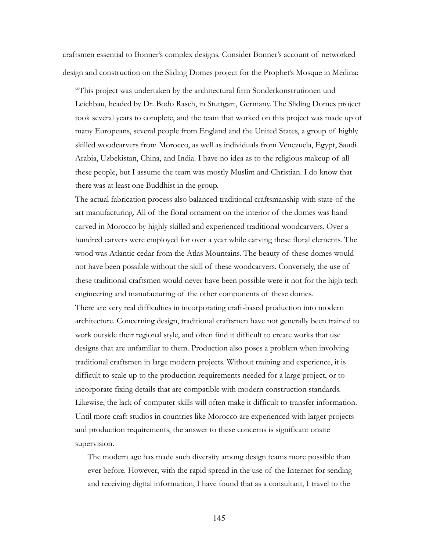craftsmen essential to Bonner's complex designs. Consider Bonner's account of networked design and construction on the Sliding Domes project for the Prophet's Mosque in Medina:

"This project was undertaken by the architectural firm Sonderkonstrutionen und Leichbau, headed by Dr. Bodo Rasch, in Stuttgart, Germany. The Sliding Domes project took several years to complete, and the team that worked on this project was made up of many Europeans, several people from England and the United States, a group of highly skilled woodcarvers from Morocco, as well as individuals from Venezuela, Egypt, Saudi Arabia, Uzbekistan, China, and India. I have no idea as to the religious makeup of all these people, but I assume the team was mostly Muslim and Christian. I do know that there was at least one Buddhist in the group.

The actual fabrication process also balanced traditional craftsmanship with state-of-theart manufacturing. All of the floral ornament on the interior of the domes was hand carved in Morocco by highly skilled and experienced traditional woodcarvers. Over a hundred carvers were employed for over a year while carving these floral elements. The wood was Atlantic cedar from the Atlas Mountains. The beauty of these domes would not have been possible without the skill of these woodcarvers. Conversely, the use of these traditional craftsmen would never have been possible were it not for the high tech engineering and manufacturing of the other components of these domes. There are very real difficulties in incorporating craft-based production into modern architecture. Concerning design, traditional craftsmen have not generally been trained to work outside their regional style, and often find it difficult to create works that use designs that are unfamiliar to them. Production also poses a problem when involving traditional craftsmen in large modern projects. Without training and experience, it is difficult to scale up to the production requirements needed for a large project, or to incorporate fixing details that are compatible with modern construction standards. Likewise, the lack of computer skills will often make it difficult to transfer information. Until more craft studios in countries like Morocco are experienced with larger projects and production requirements, the answer to these concerns is significant onsite supervision.

The modern age has made such diversity among design teams more possible than ever before. However, with the rapid spread in the use of the Internet for sending and receiving digital information, I have found that as a consultant, I travel to the

145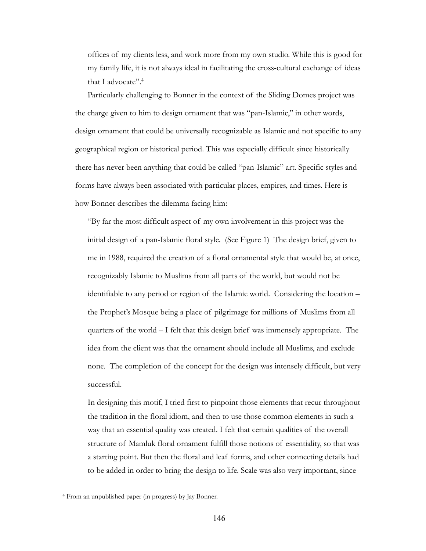offices of my clients less, and work more from my own studio. While this is good for my family life, it is not always ideal in facilitating the cross-cultural exchange of ideas that I advocate".<sup>4</sup>

Particularly challenging to Bonner in the context of the Sliding Domes project was the charge given to him to design ornament that was "pan-Islamic," in other words, design ornament that could be universally recognizable as Islamic and not specific to any geographical region or historical period. This was especially difficult since historically there has never been anything that could be called "pan-Islamic" art. Specific styles and forms have always been associated with particular places, empires, and times. Here is how Bonner describes the dilemma facing him:

"By far the most difficult aspect of my own involvement in this project was the initial design of a pan-Islamic floral style. (See Figure 1) The design brief, given to me in 1988, required the creation of a floral ornamental style that would be, at once, recognizably Islamic to Muslims from all parts of the world, but would not be identifiable to any period or region of the Islamic world. Considering the location – the Prophet's Mosque being a place of pilgrimage for millions of Muslims from all quarters of the world – I felt that this design brief was immensely appropriate. The idea from the client was that the ornament should include all Muslims, and exclude none. The completion of the concept for the design was intensely difficult, but very successful.

In designing this motif, I tried first to pinpoint those elements that recur throughout the tradition in the floral idiom, and then to use those common elements in such a way that an essential quality was created. I felt that certain qualities of the overall structure of Mamluk floral ornament fulfill those notions of essentiality, so that was a starting point. But then the floral and leaf forms, and other connecting details had to be added in order to bring the design to life. Scale was also very important, since

<span id="page-5-0"></span><sup>4</sup> From an unpublished paper (in progress) by Jay Bonner.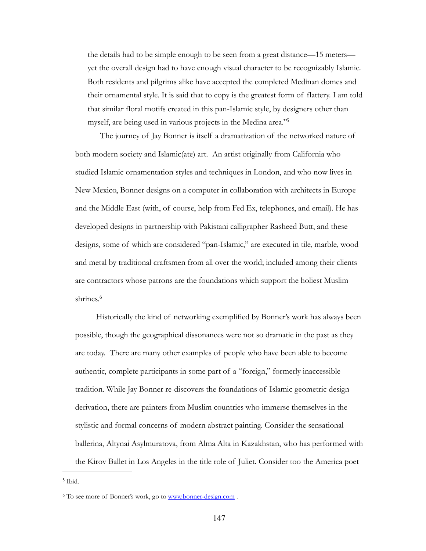the details had to be simple enough to be seen from a great distance—15 meters yet the overall design had to have enough visual character to be recognizably Islamic. Both residents and pilgrims alike have accepted the completed Medinan domes and their ornamental style. It is said that to copy is the greatest form of flattery. I am told that similar floral motifs created in this pan-Islamic style, by designers other than myself, are being used in various projects in the Medina area.["5](#page-6-0)

 The journey of Jay Bonner is itself a dramatization of the networked nature of both modern society and Islamic(ate) art. An artist originally from California who studied Islamic ornamentation styles and techniques in London, and who now lives in New Mexico, Bonner designs on a computer in collaboration with architects in Europe and the Middle East (with, of course, help from Fed Ex, telephones, and email). He has developed designs in partnership with Pakistani calligrapher Rasheed Butt, and these designs, some of which are considered "pan-Islamic," are executed in tile, marble, wood and metal by traditional craftsmen from all over the world; included among their clients are contractors whose patrons are the foundations which support the holiest Muslim shrines.<sup>[6](#page-6-1)</sup>

 Historically the kind of networking exemplified by Bonner's work has always been possible, though the geographical dissonances were not so dramatic in the past as they are today. There are many other examples of people who have been able to become authentic, complete participants in some part of a "foreign," formerly inaccessible tradition. While Jay Bonner re-discovers the foundations of Islamic geometric design derivation, there are painters from Muslim countries who immerse themselves in the stylistic and formal concerns of modern abstract painting. Consider the sensational ballerina, Altynai Asylmuratova, from Alma Alta in Kazakhstan, who has performed with the Kirov Ballet in Los Angeles in the title role of Juliet. Consider too the America poet

<span id="page-6-0"></span><sup>5</sup> Ibid.

<span id="page-6-1"></span><sup>&</sup>lt;sup>6</sup> To see more of Bonner's work, go to [www.bonner-design.com](http://www.bonner-design.com).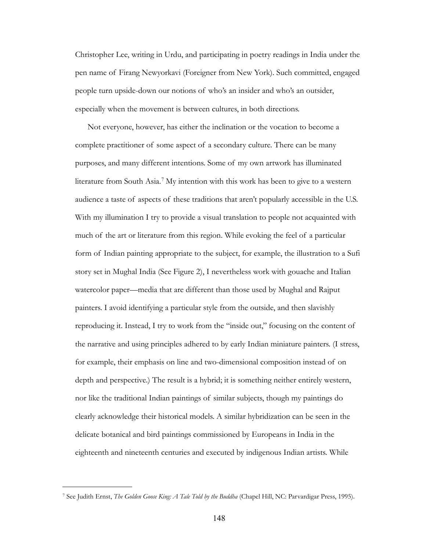Christopher Lee, writing in Urdu, and participating in poetry readings in India under the pen name of Firang Newyorkavi (Foreigner from New York). Such committed, engaged people turn upside-down our notions of who's an insider and who's an outsider, especially when the movement is between cultures, in both directions.

Not everyone, however, has either the inclination or the vocation to become a complete practitioner of some aspect of a secondary culture. There can be many purposes, and many different intentions. Some of my own artwork has illuminated literature from South Asia.<sup>[7](#page-7-0)</sup> My intention with this work has been to give to a western audience a taste of aspects of these traditions that aren't popularly accessible in the U.S. With my illumination I try to provide a visual translation to people not acquainted with much of the art or literature from this region. While evoking the feel of a particular form of Indian painting appropriate to the subject, for example, the illustration to a Sufi story set in Mughal India (See Figure 2), I nevertheless work with gouache and Italian watercolor paper—media that are different than those used by Mughal and Rajput painters. I avoid identifying a particular style from the outside, and then slavishly reproducing it. Instead, I try to work from the "inside out," focusing on the content of the narrative and using principles adhered to by early Indian miniature painters. (I stress, for example, their emphasis on line and two-dimensional composition instead of on depth and perspective.) The result is a hybrid; it is something neither entirely western, nor like the traditional Indian paintings of similar subjects, though my paintings do clearly acknowledge their historical models. A similar hybridization can be seen in the delicate botanical and bird paintings commissioned by Europeans in India in the eighteenth and nineteenth centuries and executed by indigenous Indian artists. While

<span id="page-7-0"></span><sup>7</sup> See Judith Ernst, *The Golden Goose King: A Tale Told by the Buddha* (Chapel Hill, NC: Parvardigar Press, 1995).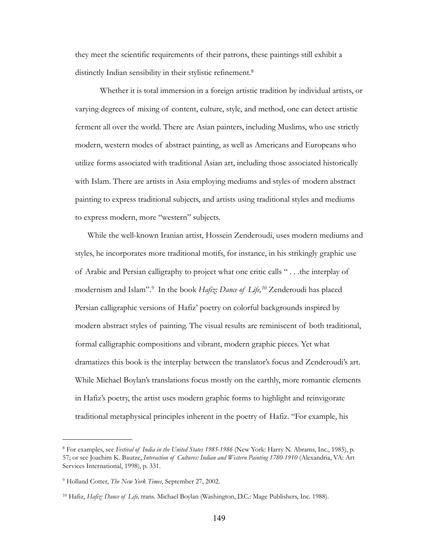they meet the scientific requirements of their patrons, these paintings still exhibit a distinctly Indian sensibility in their stylistic refinement.<sup>[8](#page-8-0)</sup>

 Whether it is total immersion in a foreign artistic tradition by individual artists, or varying degrees of mixing of content, culture, style, and method, one can detect artistic ferment all over the world. There are Asian painters, including Muslims, who use strictly modern, western modes of abstract painting, as well as Americans and Europeans who utilize forms associated with traditional Asian art, including those associated historically with Islam. There are artists in Asia employing mediums and styles of modern abstract painting to express traditional subjects, and artists using traditional styles and mediums to express modern, more "western" subjects.

While the well-known Iranian artist, Hossein Zenderoudi, uses modern mediums and styles, he incorporates more traditional motifs, for instance, in his strikingly graphic use of Arabic and Persian calligraphy to project what one critic calls " . . .the interplay of modernism and Islam".[9](#page-8-1) In the book *Hafiz: Dance of Life,[10](#page-8-2)* Zenderoudi has placed Persian calligraphic versions of Hafiz' poetry on colorful backgrounds inspired by modern abstract styles of painting. The visual results are reminiscent of both traditional, formal calligraphic compositions and vibrant, modern graphic pieces. Yet what dramatizes this book is the interplay between the translator's focus and Zenderoudi's art. While Michael Boylan's translations focus mostly on the earthly, more romantic elements in Hafiz's poetry, the artist uses modern graphic forms to highlight and reinvigorate traditional metaphysical principles inherent in the poetry of Hafiz. "For example, his

<span id="page-8-0"></span><sup>8</sup> For examples, see *Festival of India in the United States 1985-1986* (New York: Harry N. Abrams, Inc., 1985), p. 57; or see Joachim K. Bautze, *Interaction of Cultures: Indian and Western Painting 1780-1910* (Alexandria, VA: Art Services International, 1998), p. 331.

<span id="page-8-1"></span><sup>9</sup> Holland Cotter, *The New York Times*, September 27, 2002.

<span id="page-8-2"></span><sup>10</sup> Hafiz, *Hafiz: Dance of Life,* trans. Michael Boylan (Washington, D.C.: Mage Publishers, Inc. 1988).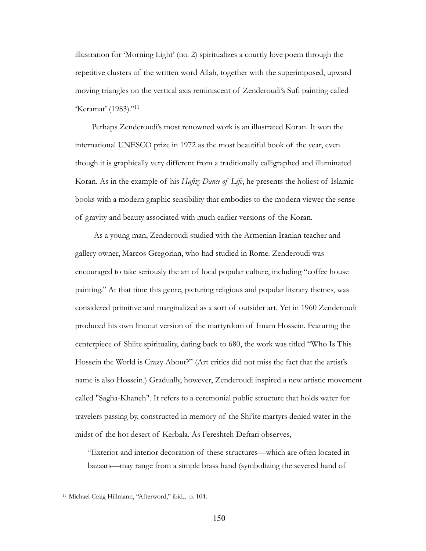illustration for 'Morning Light' (no. 2) spiritualizes a courtly love poem through the repetitive clusters of the written word Allah, together with the superimposed, upward moving triangles on the vertical axis reminiscent of Zenderoudi's Sufi painting called 'Keramat' (1983).["11](#page-9-0)

 Perhaps Zenderoudi's most renowned work is an illustrated Koran. It won the international UNESCO prize in 1972 as the most beautiful book of the year, even though it is graphically very different from a traditionally calligraphed and illuminated Koran. As in the example of his *Hafiz: Dance of Life*, he presents the holiest of Islamic books with a modern graphic sensibility that embodies to the modern viewer the sense of gravity and beauty associated with much earlier versions of the Koran.

 As a young man, Zenderoudi studied with the Armenian Iranian teacher and gallery owner, Marcos Gregorian, who had studied in Rome. Zenderoudi was encouraged to take seriously the art of local popular culture, including "coffee house painting." At that time this genre, picturing religious and popular literary themes, was considered primitive and marginalized as a sort of outsider art. Yet in 1960 Zenderoudi produced his own linocut version of the martyrdom of Imam Hossein. Featuring the centerpiece of Shiite spirituality, dating back to 680, the work was titled "Who Is This Hossein the World is Crazy About?" (Art critics did not miss the fact that the artist's name is also Hossein.) Gradually, however, Zenderoudi inspired a new artistic movement called "Sagha-Khaneh". It refers to a ceremonial public structure that holds water for travelers passing by, constructed in memory of the Shi'ite martyrs denied water in the midst of the hot desert of Kerbala. As Fereshteh Deftari observes,

"Exterior and interior decoration of these structures—which are often located in bazaars—may range from a simple brass hand (symbolizing the severed hand of

<span id="page-9-0"></span><sup>11</sup> Michael Craig Hillmann, "Afterword," ibid., p. 104.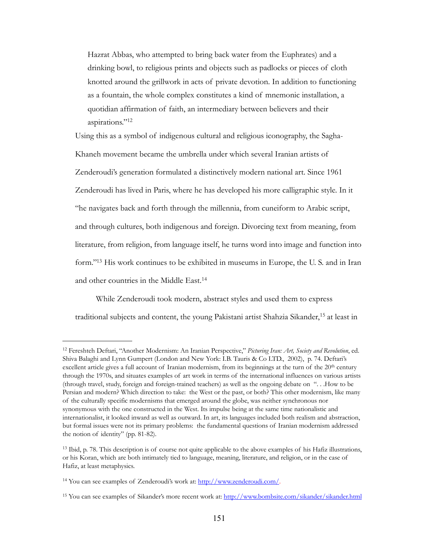Hazrat Abbas, who attempted to bring back water from the Euphrates) and a drinking bowl, to religious prints and objects such as padlocks or pieces of cloth knotted around the grillwork in acts of private devotion. In addition to functioning as a fountain, the whole complex constitutes a kind of mnemonic installation, a quotidian affirmation of faith, an intermediary between believers and their aspirations.["12](#page-10-0)

Using this as a symbol of indigenous cultural and religious iconography, the Sagha-Khaneh movement became the umbrella under which several Iranian artists of Zenderoudi's generation formulated a distinctively modern national art. Since 1961 Zenderoudi has lived in Paris, where he has developed his more calligraphic style. In it "he navigates back and forth through the millennia, from cuneiform to Arabic script, and through cultures, both indigenous and foreign. Divorcing text from meaning, from literature, from religion, from language itself, he turns word into image and function into form.["13](#page-10-1) His work continues to be exhibited in museums in Europe, the U. S. and in Iran and other countries in the Middle East.[14](#page-10-2)

 While Zenderoudi took modern, abstract styles and used them to express traditional subjects and content, the young Pakistani artist Shahzia Sikander,<sup>[15](#page-10-3)</sup> at least in

<span id="page-10-0"></span><sup>12</sup> Fereshteh Deftari, "Another Modernism: An Iranian Perspective," *Picturing Iran: Art, Society and Revolution*, ed. Shiva Balaghi and Lynn Gumpert (London and New York: I.B. Tauris & Co LTD., 2002), p. 74. Deftari's excellent article gives a full account of Iranian modernism, from its beginnings at the turn of the 20<sup>th</sup> century through the 1970s, and situates examples of art work in terms of the international influences on various artists (through travel, study, foreign and foreign-trained teachers) as well as the ongoing debate on ". . .How to be Persian and modern? Which direction to take: the West or the past, or both? This other modernism, like many of the culturally specific modernisms that emerged around the globe, was neither synchronous nor synonymous with the one constructed in the West. Its impulse being at the same time nationalistic and internationalist, it looked inward as well as outward. In art, its languages included both realism and abstraction, but formal issues were not its primary problems: the fundamental questions of Iranian modernism addressed the notion of identity" (pp. 81-82).

<span id="page-10-1"></span><sup>13</sup> Ibid, p. 78. This description is of course not quite applicable to the above examples of his Hafiz illustrations, or his Koran, which are both intimately tied to language, meaning, literature, and religion, or in the case of Hafiz, at least metaphysics.

<span id="page-10-2"></span><sup>&</sup>lt;sup>14</sup> You can see examples of Zenderoudi's work at: <http://www.zenderoudi.com/>.

<span id="page-10-3"></span><sup>&</sup>lt;sup>15</sup> You can see examples of Sikander's more recent work at: <http://www.bombsite.com/sikander/sikander.html>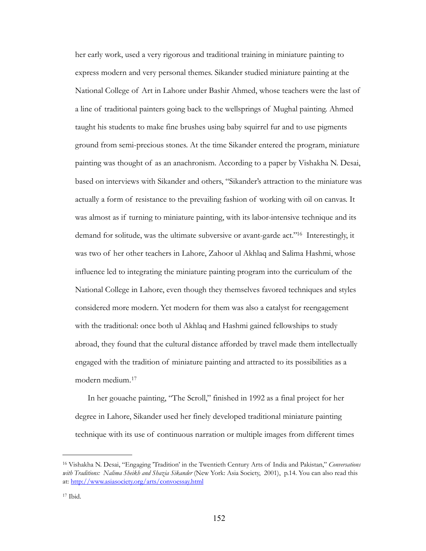her early work, used a very rigorous and traditional training in miniature painting to express modern and very personal themes. Sikander studied miniature painting at the National College of Art in Lahore under Bashir Ahmed, whose teachers were the last of a line of traditional painters going back to the wellsprings of Mughal painting. Ahmed taught his students to make fine brushes using baby squirrel fur and to use pigments ground from semi-precious stones. At the time Sikander entered the program, miniature painting was thought of as an anachronism. According to a paper by Vishakha N. Desai, based on interviews with Sikander and others, "Sikander's attraction to the miniature was actually a form of resistance to the prevailing fashion of working with oil on canvas. It was almost as if turning to miniature painting, with its labor-intensive technique and its demand for solitude, was the ultimate subversive or avant-garde act.["16](#page-11-0) Interestingly, it was two of her other teachers in Lahore, Zahoor ul Akhlaq and Salima Hashmi, whose influence led to integrating the miniature painting program into the curriculum of the National College in Lahore, even though they themselves favored techniques and styles considered more modern. Yet modern for them was also a catalyst for reengagement with the traditional: once both ul Akhlaq and Hashmi gained fellowships to study abroad, they found that the cultural distance afforded by travel made them intellectually engaged with the tradition of miniature painting and attracted to its possibilities as a modern medium.[17](#page-11-1) 

In her gouache painting, "The Scroll," finished in 1992 as a final project for her degree in Lahore, Sikander used her finely developed traditional miniature painting technique with its use of continuous narration or multiple images from different times

<span id="page-11-0"></span><sup>16</sup> Vishakha N. Desai, "Engaging 'Tradition' in the Twentieth Century Arts of India and Pakistan," *Conversations with Traditions: Nalima Sheikh and Shazia Sikander* (New York: Asia Society, 2001), p.14. You can also read this at: <http://www.asiasociety.org/arts/convoessay.html>

<span id="page-11-1"></span> $17$  Ibid.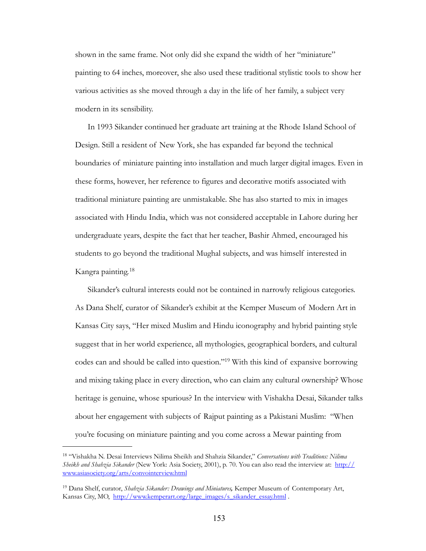shown in the same frame. Not only did she expand the width of her "miniature" painting to 64 inches, moreover, she also used these traditional stylistic tools to show her various activities as she moved through a day in the life of her family, a subject very modern in its sensibility.

In 1993 Sikander continued her graduate art training at the Rhode Island School of Design. Still a resident of New York, she has expanded far beyond the technical boundaries of miniature painting into installation and much larger digital images. Even in these forms, however, her reference to figures and decorative motifs associated with traditional miniature painting are unmistakable. She has also started to mix in images associated with Hindu India, which was not considered acceptable in Lahore during her undergraduate years, despite the fact that her teacher, Bashir Ahmed, encouraged his students to go beyond the traditional Mughal subjects, and was himself interested in Kangra painting.[18](#page-12-0)

Sikander's cultural interests could not be contained in narrowly religious categories. As Dana Shelf, curator of Sikander's exhibit at the Kemper Museum of Modern Art in Kansas City says, "Her mixed Muslim and Hindu iconography and hybrid painting style suggest that in her world experience, all mythologies, geographical borders, and cultural codes can and should be called into question."[19](#page-12-1) With this kind of expansive borrowing and mixing taking place in every direction, who can claim any cultural ownership? Whose heritage is genuine, whose spurious? In the interview with Vishakha Desai, Sikander talks about her engagement with subjects of Rajput painting as a Pakistani Muslim: "When you're focusing on miniature painting and you come across a Mewar painting from

<span id="page-12-0"></span><sup>18 &</sup>quot;Vishakha N. Desai Interviews Nilima Sheikh and Shahzia Sikander," *Conversations with Traditions: Nilima Sheikh and Shahzia Sikander* (New York: Asia Society, 2001), p. 70. You can also read the interview at: [http://](http://www.asiasociety.org/arts/convointerview.html) [www.asiasociety.org/arts/convointerview.html](http://www.asiasociety.org/arts/convointerview.html)

<span id="page-12-1"></span><sup>19</sup> Dana Shelf, curator, *Shahzia Sikander: Drawings and Miniatures,* Kemper Museum of Contemporary Art, Kansas City, MO, [http://www.kemperart.org/large\\_images/s\\_sikander\\_essay.html](http://www.kemperart.org/large_images/s_sikander_essay.html) .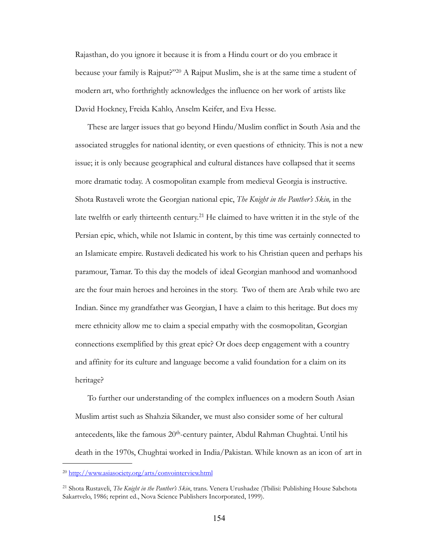Rajasthan, do you ignore it because it is from a Hindu court or do you embrace it because your family is Rajput?"<sup>20</sup> A Rajput Muslim, she is at the same time a student of modern art, who forthrightly acknowledges the influence on her work of artists like David Hockney, Freida Kahlo, Anselm Keifer, and Eva Hesse.

These are larger issues that go beyond Hindu/Muslim conflict in South Asia and the associated struggles for national identity, or even questions of ethnicity. This is not a new issue; it is only because geographical and cultural distances have collapsed that it seems more dramatic today. A cosmopolitan example from medieval Georgia is instructive. Shota Rustaveli wrote the Georgian national epic, *The Knight in the Panther's Skin,* in the late twelfth or early thirteenth century.<sup>[21](#page-13-1)</sup> He claimed to have written it in the style of the Persian epic, which, while not Islamic in content, by this time was certainly connected to an Islamicate empire. Rustaveli dedicated his work to his Christian queen and perhaps his paramour, Tamar. To this day the models of ideal Georgian manhood and womanhood are the four main heroes and heroines in the story. Two of them are Arab while two are Indian. Since my grandfather was Georgian, I have a claim to this heritage. But does my mere ethnicity allow me to claim a special empathy with the cosmopolitan, Georgian connections exemplified by this great epic? Or does deep engagement with a country and affinity for its culture and language become a valid foundation for a claim on its heritage?

To further our understanding of the complex influences on a modern South Asian Muslim artist such as Shahzia Sikander, we must also consider some of her cultural antecedents, like the famous  $20<sup>th</sup>$ -century painter, Abdul Rahman Chughtai. Until his death in the 1970s, Chughtai worked in India/Pakistan. While known as an icon of art in

<span id="page-13-0"></span><sup>20</sup> <http://www.asiasociety.org/arts/convointerview.html>

<span id="page-13-1"></span><sup>21</sup> Shota Rustaveli, *The Knight in the Panther's Skin*, trans. Venera Urushadze (Tbilisi: Publishing House Sabchota Sakartvelo, 1986; reprint ed., Nova Science Publishers Incorporated, 1999).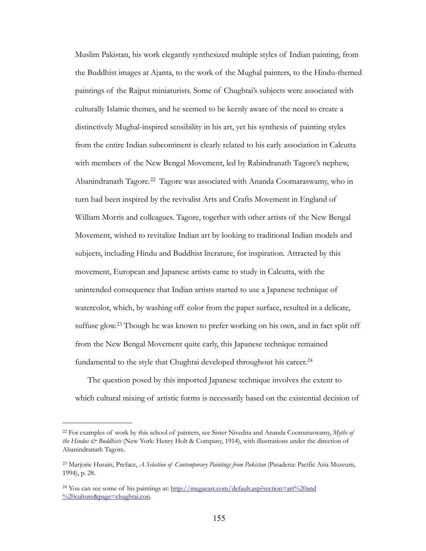Muslim Pakistan, his work elegantly synthesized multiple styles of Indian painting, from the Buddhist images at Ajanta, to the work of the Mughal painters, to the Hindu-themed paintings of the Rajput miniaturists. Some of Chughtai's subjects were associated with culturally Islamic themes, and he seemed to be keenly aware of the need to create a distinctively Mughal-inspired sensibility in his art, yet his synthesis of painting styles from the entire Indian subcontinent is clearly related to his early association in Calcutta with members of the New Bengal Movement, led by Rabindranath Tagore's nephew, Abanindranath Tagore.<sup>[22](#page-14-0)</sup> Tagore was associated with Ananda Coomaraswamy, who in turn had been inspired by the revivalist Arts and Crafts Movement in England of William Morris and colleagues. Tagore, together with other artists of the New Bengal Movement, wished to revitalize Indian art by looking to traditional Indian models and subjects, including Hindu and Buddhist literature, for inspiration. Attracted by this movement, European and Japanese artists came to study in Calcutta, with the unintended consequence that Indian artists started to use a Japanese technique of watercolor, which, by washing off color from the paper surface, resulted in a delicate, suffuse glow.<sup>[23](#page-14-1)</sup> Though he was known to prefer working on his own, and in fact split off from the New Bengal Movement quite early, this Japanese technique remained fundamental to the style that Chughtai developed throughout his career.<sup>[24](#page-14-2)</sup>

The question posed by this imported Japanese technique involves the extent to which cultural mixing of artistic forms is necessarily based on the existential decision of

<span id="page-14-0"></span><sup>22</sup> For examples of work by this school of painters, see Sister Nivedita and Ananda Coomaraswamy, *Myths of the Hindus & Buddhists* (New York: Henry Holt & Company, 1914), with illustrations under the direction of Abanindranath Tagore.

<span id="page-14-1"></span><sup>23</sup> Marjorie Husain, Preface, *A Selection of Contemporary Paintings from Pakistan* (Pasadena: Pacific Asia Museum, 1994), p. 28.

<span id="page-14-2"></span><sup>&</sup>lt;sup>24</sup> You can see some of his paintings at:  $\frac{http://megaeast.com/default-asp?section=art%20and}{http://megaeast.com/default-asp?section=art%10and}$ [%20culture&page=chughtai.con.](http://megaeast.com/default.asp?section=art%20and%20culture&page=chughtai.con)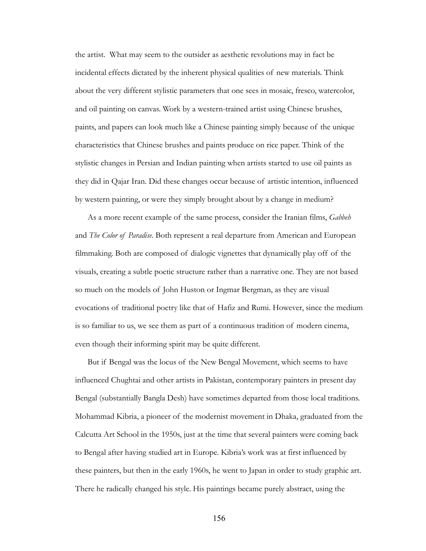the artist. What may seem to the outsider as aesthetic revolutions may in fact be incidental effects dictated by the inherent physical qualities of new materials. Think about the very different stylistic parameters that one sees in mosaic, fresco, watercolor, and oil painting on canvas. Work by a western-trained artist using Chinese brushes, paints, and papers can look much like a Chinese painting simply because of the unique characteristics that Chinese brushes and paints produce on rice paper. Think of the stylistic changes in Persian and Indian painting when artists started to use oil paints as they did in Qajar Iran. Did these changes occur because of artistic intention, influenced by western painting, or were they simply brought about by a change in medium?

As a more recent example of the same process, consider the Iranian films, *Gabbeh* and *The Color of Paradise.* Both represent a real departure from American and European filmmaking. Both are composed of dialogic vignettes that dynamically play off of the visuals, creating a subtle poetic structure rather than a narrative one. They are not based so much on the models of John Huston or Ingmar Bergman, as they are visual evocations of traditional poetry like that of Hafiz and Rumi. However, since the medium is so familiar to us, we see them as part of a continuous tradition of modern cinema, even though their informing spirit may be quite different.

But if Bengal was the locus of the New Bengal Movement, which seems to have influenced Chughtai and other artists in Pakistan, contemporary painters in present day Bengal (substantially Bangla Desh) have sometimes departed from those local traditions. Mohammad Kibria, a pioneer of the modernist movement in Dhaka, graduated from the Calcutta Art School in the 1950s, just at the time that several painters were coming back to Bengal after having studied art in Europe. Kibria's work was at first influenced by these painters, but then in the early 1960s, he went to Japan in order to study graphic art. There he radically changed his style. His paintings became purely abstract, using the

156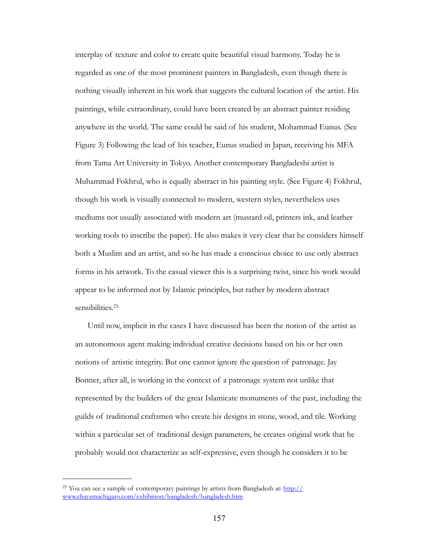interplay of texture and color to create quite beautiful visual harmony. Today he is regarded as one of the most prominent painters in Bangladesh, even though there is nothing visually inherent in his work that suggests the cultural location of the artist. His paintings, while extraordinary, could have been created by an abstract painter residing anywhere in the world. The same could be said of his student, Mohammad Eunus. (See Figure 3) Following the lead of his teacher, Eunus studied in Japan, receiving his MFA from Tama Art University in Tokyo. Another contemporary Bangladeshi artist is Muhammad Fokhrul, who is equally abstract in his painting style. (See Figure 4) Fokhrul, though his work is visually connected to modern, western styles, nevertheless uses mediums not usually associated with modern art (mustard oil, printers ink, and leather working tools to inscribe the paper). He also makes it very clear that he considers himself both a Muslim and an artist, and so he has made a conscious choice to use only abstract forms in his artwork. To the casual viewer this is a surprising twist, since his work would appear to be informed not by Islamic principles, but rather by modern abstract sensibilities.<sup>[25](#page-16-0)</sup>

Until now, implicit in the cases I have discussed has been the notion of the artist as an autonomous agent making individual creative decisions based on his or her own notions of artistic integrity. But one cannot ignore the question of patronage. Jay Bonner, after all, is working in the context of a patronage system not unlike that represented by the builders of the great Islamicate monuments of the past, including the guilds of traditional craftsmen who create his designs in stone, wood, and tile. Working within a particular set of traditional design parameters, he creates original work that he probably would not characterize as self-expressive, even though he considers it to be

<span id="page-16-0"></span><sup>&</sup>lt;sup>25</sup> You can see a sample of contemporary paintings by artists from Bangladesh at:  $\frac{http://}{http://}$ [www.chayamachigaro.com/exhibition/bangladesh/bangladesh.htm](http://www.chayamachigaro.com/exhibition/bangladesh/bangladesh.htm)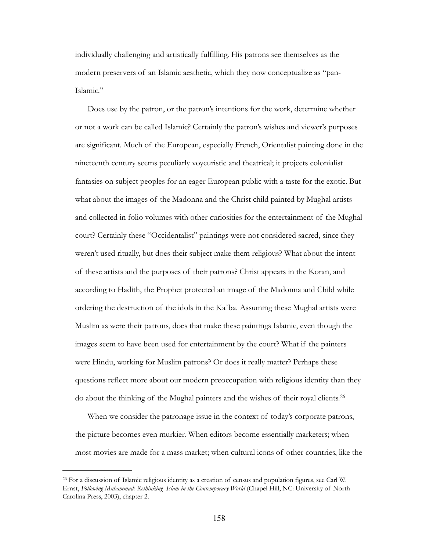individually challenging and artistically fulfilling. His patrons see themselves as the modern preservers of an Islamic aesthetic, which they now conceptualize as "pan-Islamic."

Does use by the patron, or the patron's intentions for the work, determine whether or not a work can be called Islamic? Certainly the patron's wishes and viewer's purposes are significant. Much of the European, especially French, Orientalist painting done in the nineteenth century seems peculiarly voyeuristic and theatrical; it projects colonialist fantasies on subject peoples for an eager European public with a taste for the exotic. But what about the images of the Madonna and the Christ child painted by Mughal artists and collected in folio volumes with other curiosities for the entertainment of the Mughal court? Certainly these "Occidentalist" paintings were not considered sacred, since they weren't used ritually, but does their subject make them religious? What about the intent of these artists and the purposes of their patrons? Christ appears in the Koran, and according to Hadith, the Prophet protected an image of the Madonna and Child while ordering the destruction of the idols in the Ka`ba. Assuming these Mughal artists were Muslim as were their patrons, does that make these paintings Islamic, even though the images seem to have been used for entertainment by the court? What if the painters were Hindu, working for Muslim patrons? Or does it really matter? Perhaps these questions reflect more about our modern preoccupation with religious identity than they do about the thinking of the Mughal painters and the wishes of their royal clients.[26](#page-17-0)

When we consider the patronage issue in the context of today's corporate patrons, the picture becomes even murkier. When editors become essentially marketers; when most movies are made for a mass market; when cultural icons of other countries, like the

<span id="page-17-0"></span><sup>&</sup>lt;sup>26</sup> For a discussion of Islamic religious identity as a creation of census and population figures, see Carl W. Ernst, *Following Muhammad: Rethinking Islam in the Contemporary World* (Chapel Hill, NC: University of North Carolina Press, 2003), chapter 2.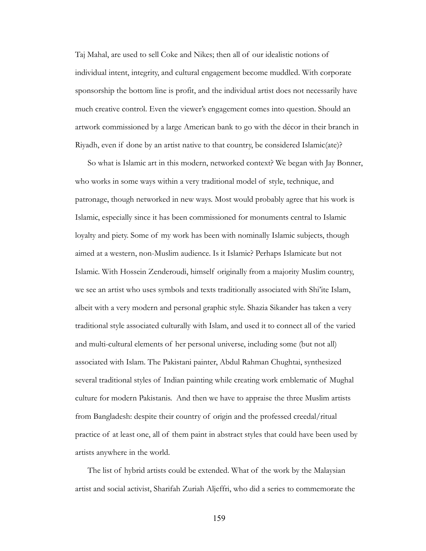Taj Mahal, are used to sell Coke and Nikes; then all of our idealistic notions of individual intent, integrity, and cultural engagement become muddled. With corporate sponsorship the bottom line is profit, and the individual artist does not necessarily have much creative control. Even the viewer's engagement comes into question. Should an artwork commissioned by a large American bank to go with the décor in their branch in Riyadh, even if done by an artist native to that country, be considered Islamic(ate)?

So what is Islamic art in this modern, networked context? We began with Jay Bonner, who works in some ways within a very traditional model of style, technique, and patronage, though networked in new ways. Most would probably agree that his work is Islamic, especially since it has been commissioned for monuments central to Islamic loyalty and piety. Some of my work has been with nominally Islamic subjects, though aimed at a western, non-Muslim audience. Is it Islamic? Perhaps Islamicate but not Islamic. With Hossein Zenderoudi, himself originally from a majority Muslim country, we see an artist who uses symbols and texts traditionally associated with Shi'ite Islam, albeit with a very modern and personal graphic style. Shazia Sikander has taken a very traditional style associated culturally with Islam, and used it to connect all of the varied and multi-cultural elements of her personal universe, including some (but not all) associated with Islam. The Pakistani painter, Abdul Rahman Chughtai, synthesized several traditional styles of Indian painting while creating work emblematic of Mughal culture for modern Pakistanis. And then we have to appraise the three Muslim artists from Bangladesh: despite their country of origin and the professed creedal/ritual practice of at least one, all of them paint in abstract styles that could have been used by artists anywhere in the world.

The list of hybrid artists could be extended. What of the work by the Malaysian artist and social activist, Sharifah Zuriah Aljeffri, who did a series to commemorate the

159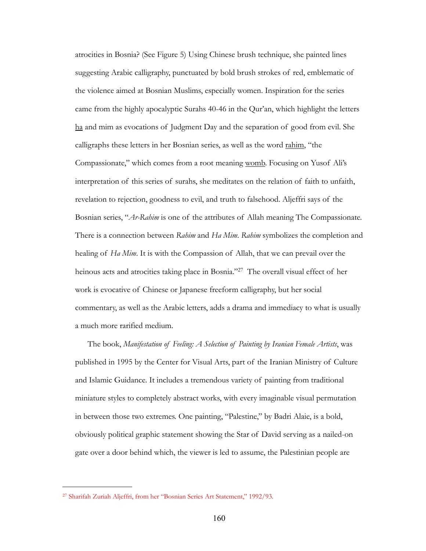atrocities in Bosnia? (See Figure 5) Using Chinese brush technique, she painted lines suggesting Arabic calligraphy, punctuated by bold brush strokes of red, emblematic of the violence aimed at Bosnian Muslims, especially women. Inspiration for the series came from the highly apocalyptic Surahs 40-46 in the Qur'an, which highlight the letters ha and mim as evocations of Judgment Day and the separation of good from evil. She calligraphs these letters in her Bosnian series, as well as the word rahim, "the Compassionate," which comes from a root meaning womb. Focusing on Yusof Ali's interpretation of this series of surahs, she meditates on the relation of faith to unfaith, revelation to rejection, goodness to evil, and truth to falsehood. Aljeffri says of the Bosnian series, "*Ar-Rahim* is one of the attributes of Allah meaning The Compassionate. There is a connection between *Rahim* and *Ha Mim*. *Rahim* symbolizes the completion and healing of *Ha Mim*. It is with the Compassion of Allah, that we can prevail over the heinous acts and atrocities taking place in Bosnia."<sup>27</sup> The overall visual effect of her work is evocative of Chinese or Japanese freeform calligraphy, but her social commentary, as well as the Arabic letters, adds a drama and immediacy to what is usually a much more rarified medium.

The book, *Manifestation of Feeling: A Selection of Painting by Iranian Female Artists*, was published in 1995 by the Center for Visual Arts, part of the Iranian Ministry of Culture and Islamic Guidance. It includes a tremendous variety of painting from traditional miniature styles to completely abstract works, with every imaginable visual permutation in between those two extremes. One painting, "Palestine," by Badri Alaie, is a bold, obviously political graphic statement showing the Star of David serving as a nailed-on gate over a door behind which, the viewer is led to assume, the Palestinian people are

<span id="page-19-0"></span><sup>27</sup> Sharifah Zuriah Aljeffri, from her "Bosnian Series Art Statement," 1992/93.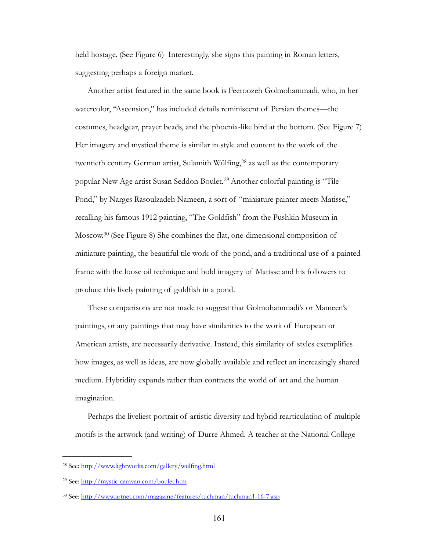held hostage. (See Figure 6) Interestingly, she signs this painting in Roman letters, suggesting perhaps a foreign market.

Another artist featured in the same book is Feeroozeh Golmohammadi, who, in her watercolor, "Ascension," has included details reminiscent of Persian themes—the costumes, headgear, prayer beads, and the phoenix-like bird at the bottom. (See Figure 7) Her imagery and mystical theme is similar in style and content to the work of the twentieth century German artist, Sulamith Wülfing,<sup>[28](#page-20-0)</sup> as well as the contemporary popular New Age artist Susan Seddon Boulet.[29](#page-20-1) Another colorful painting is "Tile Pond," by Narges Rasoulzadeh Nameen, a sort of "miniature painter meets Matisse," recalling his famous 1912 painting, "The Goldfish" from the Pushkin Museum in Moscow.[30](#page-20-2) (See Figure 8) She combines the flat, one-dimensional composition of miniature painting, the beautiful tile work of the pond, and a traditional use of a painted frame with the loose oil technique and bold imagery of Matisse and his followers to produce this lively painting of goldfish in a pond.

These comparisons are not made to suggest that Golmohammadi's or Mameen's paintings, or any paintings that may have similarities to the work of European or American artists, are necessarily derivative. Instead, this similarity of styles exemplifies how images, as well as ideas, are now globally available and reflect an increasingly shared medium. Hybridity expands rather than contracts the world of art and the human imagination.

Perhaps the liveliest portrait of artistic diversity and hybrid rearticulation of multiple motifs is the artwork (and writing) of Durre Ahmed. A teacher at the National College

<span id="page-20-0"></span><sup>28</sup> See: <http://www.lightworks.com/gallery/wulfing.html>

<span id="page-20-1"></span><sup>&</sup>lt;sup>29</sup> See: <http://mystic-caravan.com/boulet.htm>

<span id="page-20-2"></span><sup>30</sup> See: <http://www.artnet.com/magazine/features/tuchman/tuchman1-16-7.asp>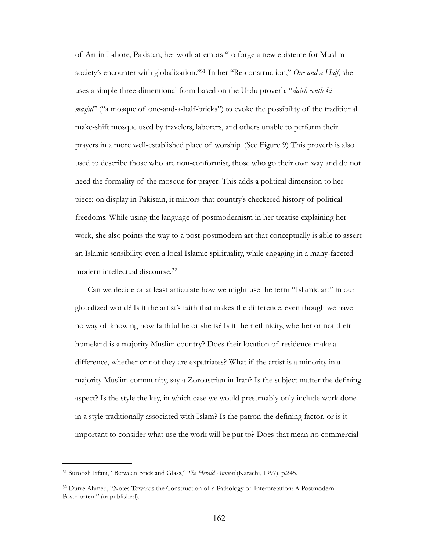of Art in Lahore, Pakistan, her work attempts "to forge a new episteme for Muslim society's encounter with globalization.["31](#page-21-0) In her "Re-construction," *One and a Half*, she uses a simple three-dimentional form based on the Urdu proverb, "*dairh eenth ki masjid*" ("a mosque of one-and-a-half-bricks") to evoke the possibility of the traditional make-shift mosque used by travelers, laborers, and others unable to perform their prayers in a more well-established place of worship. (See Figure 9) This proverb is also used to describe those who are non-conformist, those who go their own way and do not need the formality of the mosque for prayer. This adds a political dimension to her piece: on display in Pakistan, it mirrors that country's checkered history of political freedoms. While using the language of postmodernism in her treatise explaining her work, she also points the way to a post-postmodern art that conceptually is able to assert an Islamic sensibility, even a local Islamic spirituality, while engaging in a many-faceted modern intellectual discourse.[32](#page-21-1)

Can we decide or at least articulate how we might use the term "Islamic art" in our globalized world? Is it the artist's faith that makes the difference, even though we have no way of knowing how faithful he or she is? Is it their ethnicity, whether or not their homeland is a majority Muslim country? Does their location of residence make a difference, whether or not they are expatriates? What if the artist is a minority in a majority Muslim community, say a Zoroastrian in Iran? Is the subject matter the defining aspect? Is the style the key, in which case we would presumably only include work done in a style traditionally associated with Islam? Is the patron the defining factor, or is it important to consider what use the work will be put to? Does that mean no commercial

<span id="page-21-0"></span><sup>31</sup> Suroosh Irfani, "Between Brick and Glass," *The Herald Annual* (Karachi, 1997), p.245.

<span id="page-21-1"></span><sup>&</sup>lt;sup>32</sup> Durre Ahmed, "Notes Towards the Construction of a Pathology of Interpretation: A Postmodern Postmortem" (unpublished).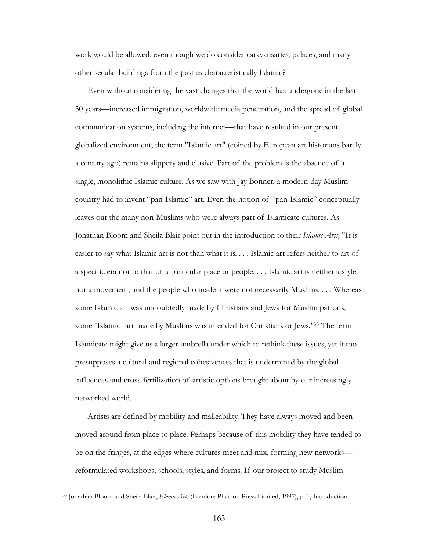work would be allowed, even though we do consider caravansaries, palaces, and many other secular buildings from the past as characteristically Islamic?

Even without considering the vast changes that the world has undergone in the last 50 years—increased immigration, worldwide media penetration, and the spread of global communication systems, including the internet—that have resulted in our present globalized environment, the term "Islamic art" (coined by European art historians barely a century ago) remains slippery and elusive. Part of the problem is the absence of a single, monolithic Islamic culture. As we saw with Jay Bonner, a modern-day Muslim country had to invent "pan-Islamic" art. Even the notion of "pan-Islamic" conceptually leaves out the many non-Muslims who were always part of Islamicate cultures. As Jonathan Bloom and Sheila Blair point out in the introduction to their *Islamic Arts,* "It is easier to say what Islamic art is not than what it is. . . . Islamic art refers neither to art of a specific era nor to that of a particular place or people. . . . Islamic art is neither a style nor a movement, and the people who made it were not necessarily Muslims. . . . Whereas some Islamic art was undoubtedly made by Christians and Jews for Muslim patrons, some ´Islamic´ art made by Muslims was intended for Christians or Jews.["33](#page-22-0) The term Islamicate might give us a larger umbrella under which to rethink these issues, yet it too presupposes a cultural and regional cohesiveness that is undermined by the global influences and cross-fertilization of artistic options brought about by our increasingly networked world.

Artists are defined by mobility and malleability. They have always moved and been moved around from place to place. Perhaps because of this mobility they have tended to be on the fringes, at the edges where cultures meet and mix, forming new networks reformulated workshops, schools, styles, and forms. If our project to study Muslim

<span id="page-22-0"></span><sup>33</sup> Jonathan Bloom and Sheila Blair, *Islamic Arts* (London: Phaidon Press Limited, 1997), p. 1, Introduction.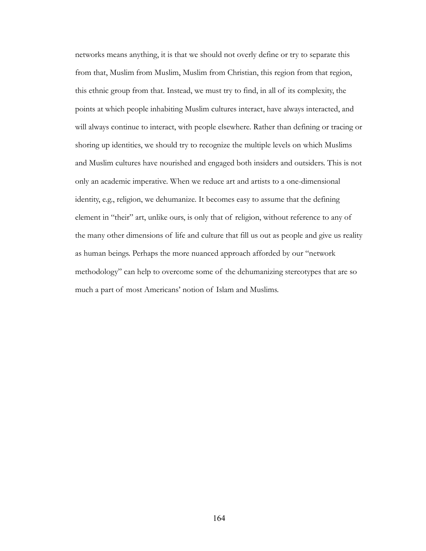networks means anything, it is that we should not overly define or try to separate this from that, Muslim from Muslim, Muslim from Christian, this region from that region, this ethnic group from that. Instead, we must try to find, in all of its complexity, the points at which people inhabiting Muslim cultures interact, have always interacted, and will always continue to interact, with people elsewhere. Rather than defining or tracing or shoring up identities, we should try to recognize the multiple levels on which Muslims and Muslim cultures have nourished and engaged both insiders and outsiders. This is not only an academic imperative. When we reduce art and artists to a one-dimensional identity, e.g., religion, we dehumanize. It becomes easy to assume that the defining element in "their" art, unlike ours, is only that of religion, without reference to any of the many other dimensions of life and culture that fill us out as people and give us reality as human beings. Perhaps the more nuanced approach afforded by our "network methodology" can help to overcome some of the dehumanizing stereotypes that are so much a part of most Americans' notion of Islam and Muslims.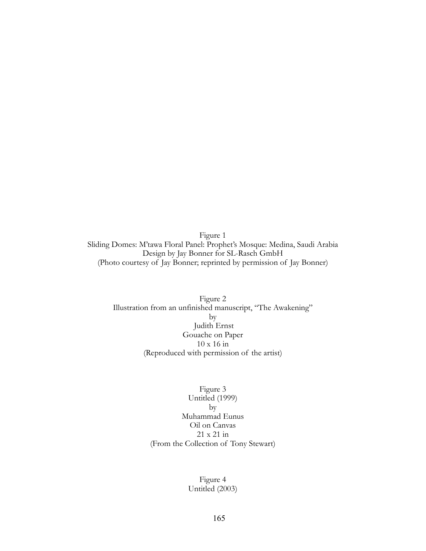Figure 1 Sliding Domes: M'tawa Floral Panel: Prophet's Mosque: Medina, Saudi Arabia Design by Jay Bonner for SL-Rasch GmbH (Photo courtesy of Jay Bonner; reprinted by permission of Jay Bonner)

Figure 2 Illustration from an unfinished manuscript, "The Awakening" by Judith Ernst Gouache on Paper  $10$  x  $16$  in (Reproduced with permission of the artist)

> Figure 3 Untitled (1999) by Muhammad Eunus Oil on Canvas 21 x 21 in (From the Collection of Tony Stewart)

> > Figure 4 Untitled (2003)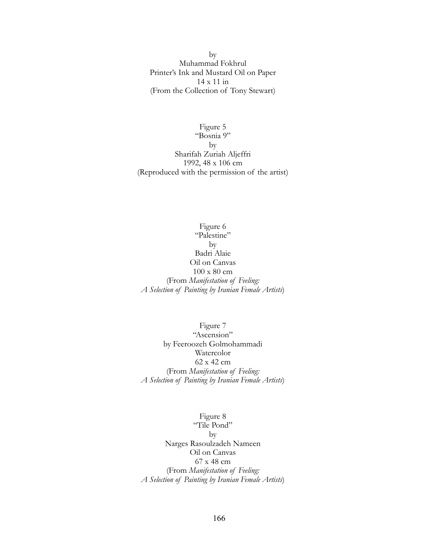by Muhammad Fokhrul Printer's Ink and Mustard Oil on Paper 14 x 11 in (From the Collection of Tony Stewart)

Figure 5 "Bosnia 9" by Sharifah Zuriah Aljeffri 1992, 48 x 106 cm (Reproduced with the permission of the artist)

Figure 6 "Palestine" by Badri Alaie Oil on Canvas 100 x 80 cm (From *Manifestation of Feeling: A Selection of Painting by Iranian Female Artists*)

Figure 7 "Ascension" by Feeroozeh Golmohammadi Watercolor 62 x 42 cm (From *Manifestation of Feeling: A Selection of Painting by Iranian Female Artists*)

Figure 8 "Tile Pond" by Narges Rasoulzadeh Nameen Oil on Canvas 67 x 48 cm (From *Manifestation of Feeling: A Selection of Painting by Iranian Female Artists*)